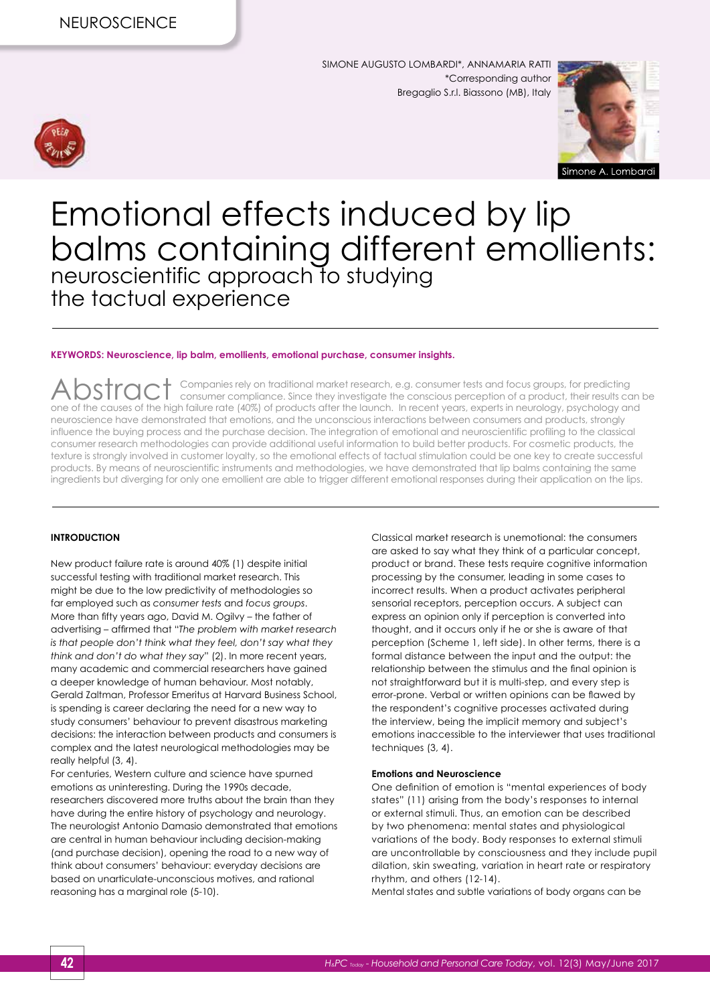

SIMONE AUGUSTO LOMBARDI\*, ANNAMARIA RATTI \*Corresponding author Bregaglio S.r.l. Biassono (MB), Italy



# Emotional effects induced by lip balms containing different emollients: neuroscientific approach to studying the tactual experience

#### **KEYWORDS: Neuroscience, lip balm, emollients, emotional purchase, consumer insights.**

Abstract Companies rely on traditional market research, e.g. consumer tests and focus groups, for predicting consumer compliance. Since they investigate the conscious perception of a product, their results can be one of the causes of the high failure rate (40%) of products after the launch. In recent years, experts in neurology, psychology and neuroscience have demonstrated that emotions, and the unconscious interactions between consumers and products, strongly influence the buying process and the purchase decision. The integration of emotional and neuroscientific profiling to the classical consumer research methodologies can provide additional useful information to build better products. For cosmetic products, the texture is strongly involved in customer loyalty, so the emotional effects of tactual stimulation could be one key to create successful products. By means of neuroscientific instruments and methodologies, we have demonstrated that lip balms containing the same ingredients but diverging for only one emollient are able to trigger different emotional responses during their application on the lips.

#### **INTRODUCTION**

New product failure rate is around 40% (1) despite initial successful testing with traditional market research. This might be due to the low predictivity of methodologies so far employed such as *consumer tests* and *focus groups*. More than fifty years ago, David M. Ogilvy – the father of advertising – affirmed that "*The problem with market research is that people don't think what they feel, don't say what they think and don't do what they say*" (2). In more recent years, many academic and commercial researchers have gained a deeper knowledge of human behaviour. Most notably, Gerald Zaltman, Professor Emeritus at Harvard Business School, is spending is career declaring the need for a new way to study consumers' behaviour to prevent disastrous marketing decisions: the interaction between products and consumers is complex and the latest neurological methodologies may be really helpful (3, 4).

For centuries, Western culture and science have spurned emotions as uninteresting. During the 1990s decade, researchers discovered more truths about the brain than they have during the entire history of psychology and neurology. The neurologist Antonio Damasio demonstrated that emotions are central in human behaviour including decision-making (and purchase decision), opening the road to a new way of think about consumers' behaviour: everyday decisions are based on unarticulate-unconscious motives, and rational reasoning has a marginal role (5-10).

Classical market research is unemotional: the consumers are asked to say what they think of a particular concept, product or brand. These tests require cognitive information processing by the consumer, leading in some cases to incorrect results. When a product activates peripheral sensorial receptors, perception occurs. A subject can express an opinion only if perception is converted into thought, and it occurs only if he or she is aware of that perception (Scheme 1, left side). In other terms, there is a formal distance between the input and the output: the relationship between the stimulus and the final opinion is not straightforward but it is multi-step, and every step is error-prone. Verbal or written opinions can be flawed by the respondent's cognitive processes activated during the interview, being the implicit memory and subject's emotions inaccessible to the interviewer that uses traditional techniques (3, 4).

#### **Emotions and Neuroscience**

One definition of emotion is "mental experiences of body states" (11) arising from the body's responses to internal or external stimuli. Thus, an emotion can be described by two phenomena: mental states and physiological variations of the body. Body responses to external stimuli are uncontrollable by consciousness and they include pupil dilation, skin sweating, variation in heart rate or respiratory rhythm, and others (12-14).

Mental states and subtle variations of body organs can be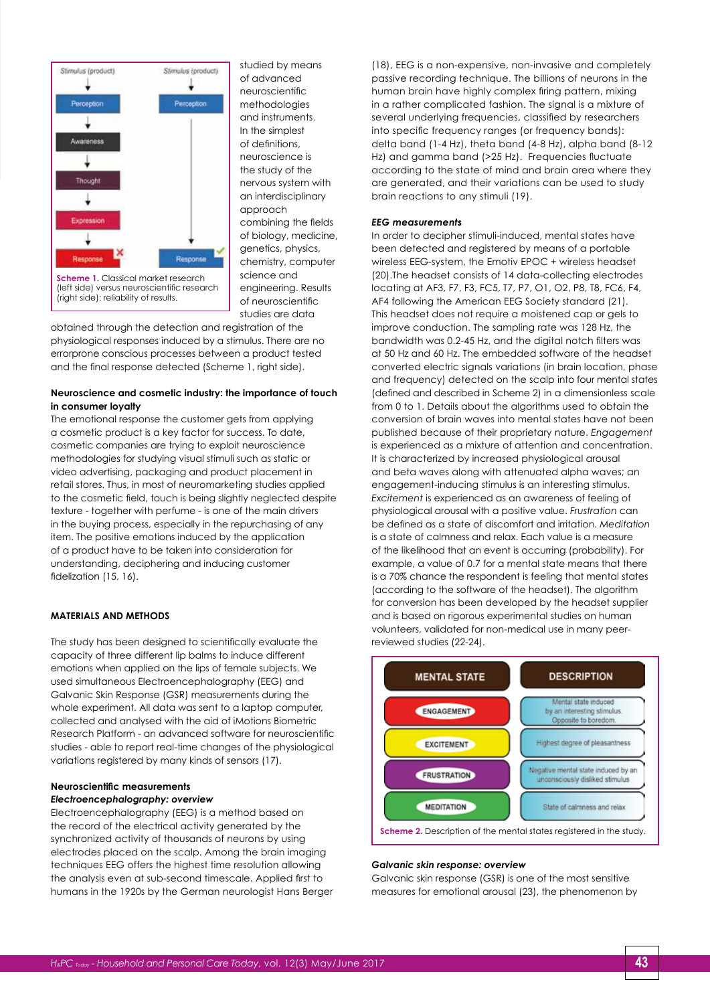

studied by means of advanced neuroscientific methodologies and instruments. In the simplest of definitions, neuroscience is the study of the nervous system with an interdisciplinary approach combining the fields of biology, medicine, genetics, physics, chemistry, computer science and engineering. Results of neuroscientific studies are data

obtained through the detection and registration of the physiological responses induced by a stimulus. There are no errorprone conscious processes between a product tested and the final response detected (Scheme 1, right side).

#### **Neuroscience and cosmetic industry: the importance of touch in consumer loyalty**

The emotional response the customer gets from applying a cosmetic product is a key factor for success. To date, cosmetic companies are trying to exploit neuroscience methodologies for studying visual stimuli such as static or video advertising, packaging and product placement in retail stores. Thus, in most of neuromarketing studies applied to the cosmetic field, touch is being slightly neglected despite texture - together with perfume - is one of the main drivers in the buying process, especially in the repurchasing of any item. The positive emotions induced by the application of a product have to be taken into consideration for understanding, deciphering and inducing customer fidelization (15, 16).

### **MATERIALS AND METHODS**

The study has been designed to scientifically evaluate the capacity of three different lip balms to induce different emotions when applied on the lips of female subjects. We used simultaneous Electroencephalography (EEG) and Galvanic Skin Response (GSR) measurements during the whole experiment. All data was sent to a laptop computer, collected and analysed with the aid of iMotions Biometric Research Platform - an advanced software for neuroscientific studies - able to report real-time changes of the physiological variations registered by many kinds of sensors (17).

#### **Neuroscientific measurements** *Electroencephalography: overview*

Electroencephalography (EEG) is a method based on the record of the electrical activity generated by the synchronized activity of thousands of neurons by using electrodes placed on the scalp. Among the brain imaging techniques EEG offers the highest time resolution allowing the analysis even at sub-second timescale. Applied first to humans in the 1920s by the German neurologist Hans Berger (18), EEG is a non-expensive, non-invasive and completely passive recording technique. The billions of neurons in the human brain have highly complex firing pattern, mixing in a rather complicated fashion. The signal is a mixture of several underlying frequencies, classified by researchers into specific frequency ranges (or frequency bands): delta band (1-4 Hz), theta band (4-8 Hz), alpha band (8-12 Hz) and gamma band (>25 Hz). Frequencies fluctuate according to the state of mind and brain area where they are generated, and their variations can be used to study brain reactions to any stimuli (19).

#### *EEG measurements*

In order to decipher stimuli-induced, mental states have been detected and registered by means of a portable wireless EEG-system, the Emotiv EPOC + wireless headset (20).The headset consists of 14 data-collecting electrodes locating at AF3, F7, F3, FC5, T7, P7, O1, O2, P8, T8, FC6, F4, AF4 following the American EEG Society standard (21). This headset does not require a moistened cap or gels to improve conduction. The sampling rate was 128 Hz, the bandwidth was 0.2-45 Hz, and the digital notch filters was at 50 Hz and 60 Hz. The embedded software of the headset converted electric signals variations (in brain location, phase and frequency) detected on the scalp into four mental states (defined and described in Scheme 2) in a dimensionless scale from 0 to 1. Details about the algorithms used to obtain the conversion of brain waves into mental states have not been published because of their proprietary nature. *Engagement* is experienced as a mixture of attention and concentration. It is characterized by increased physiological arousal and beta waves along with attenuated alpha waves; an engagement-inducing stimulus is an interesting stimulus. *Excitement* is experienced as an awareness of feeling of physiological arousal with a positive value. *Frustration* can be defined as a state of discomfort and irritation. *Meditation* is a state of calmness and relax. Each value is a measure of the likelihood that an event is occurring (probability). For example, a value of 0.7 for a mental state means that there is a 70% chance the respondent is feeling that mental states (according to the software of the headset). The algorithm for conversion has been developed by the headset supplier and is based on rigorous experimental studies on human volunteers, validated for non-medical use in many peerreviewed studies (22-24).



#### *Galvanic skin response: overview*

Galvanic skin response (GSR) is one of the most sensitive measures for emotional arousal (23), the phenomenon by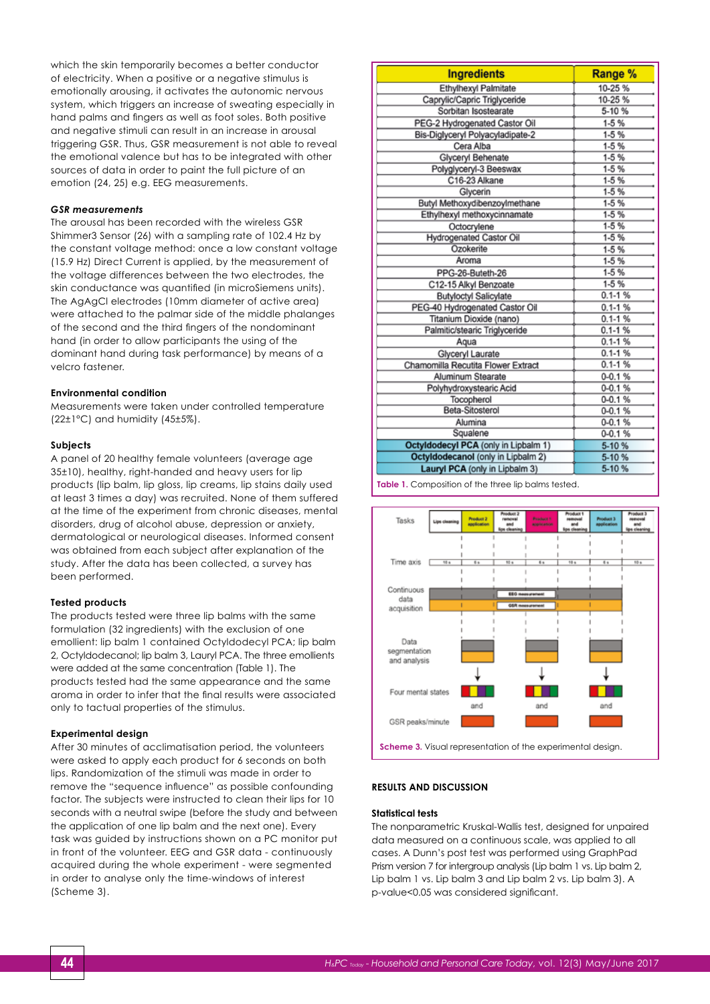which the skin temporarily becomes a better conductor of electricity. When a positive or a negative stimulus is emotionally arousing, it activates the autonomic nervous system, which triggers an increase of sweating especially in hand palms and fingers as well as foot soles. Both positive and negative stimuli can result in an increase in arousal triggering GSR. Thus, GSR measurement is not able to reveal the emotional valence but has to be integrated with other sources of data in order to paint the full picture of an emotion (24, 25) e.g. EEG measurements.

#### *GSR measurements*

The arousal has been recorded with the wireless GSR Shimmer3 Sensor (26) with a sampling rate of 102.4 Hz by the constant voltage method: once a low constant voltage (15.9 Hz) Direct Current is applied, by the measurement of the voltage differences between the two electrodes, the skin conductance was quantified (in microSiemens units). The AgAgCl electrodes (10mm diameter of active area) were attached to the palmar side of the middle phalanges of the second and the third fingers of the nondominant hand (in order to allow participants the using of the dominant hand during task performance) by means of a velcro fastener.

#### **Environmental condition**

Measurements were taken under controlled temperature (22±1°C) and humidity (45±5%).

#### **Subjects**

A panel of 20 healthy female volunteers (average age 35±10), healthy, right-handed and heavy users for lip products (lip balm, lip gloss, lip creams, lip stains daily used at least 3 times a day) was recruited. None of them suffered at the time of the experiment from chronic diseases, mental disorders, drug of alcohol abuse, depression or anxiety, dermatological or neurological diseases. Informed consent was obtained from each subject after explanation of the study. After the data has been collected, a survey has been performed.

#### **Tested products**

The products tested were three lip balms with the same formulation (32 ingredients) with the exclusion of one emollient: lip balm 1 contained Octyldodecyl PCA; lip balm 2, Octyldodecanol; lip balm 3, Lauryl PCA. The three emollients were added at the same concentration (Table 1). The products tested had the same appearance and the same aroma in order to infer that the final results were associated only to tactual properties of the stimulus.

#### **Experimental design**

After 30 minutes of acclimatisation period, the volunteers were asked to apply each product for 6 seconds on both lips. Randomization of the stimuli was made in order to remove the "sequence influence" as possible confounding factor. The subjects were instructed to clean their lips for 10 seconds with a neutral swipe (before the study and between the application of one lip balm and the next one). Every task was guided by instructions shown on a PC monitor put in front of the volunteer. EEG and GSR data - continuously acquired during the whole experiment - were segmented in order to analyse only the time-windows of interest (Scheme 3).

| <b>Ingredients</b>                   | Range %     |
|--------------------------------------|-------------|
| Ethylhexyl Palmitate                 | 10-25%      |
| Caprylic/Capric Triglyceride         | 10-25 %     |
| Sorbitan Isostearate                 | 5-10%       |
| PEG-2 Hydrogenated Castor Oil        | $1-5%$      |
| Bis-Diglyceryl Polyacyladipate-2     | $1-5%$      |
| Cera Alba                            | $1-5%$      |
| Glyceryl Behenate                    | $1-5%$      |
| Polyglyceryl-3 Beeswax               | $1-5%$      |
| C16-23 Alkane                        | $1-5%$      |
| Glycerin                             | $1-5%$      |
| Butyl Methoxydibenzoylmethane        | $1-5%$      |
| Ethylhexyl methoxycinnamate          | $1-5%$      |
| Octocrylene                          | $1-5%$      |
| Hydrogenated Castor Oil              | $1-5%$      |
| Ozokerite                            | $1-5%$      |
| Aroma                                | $1-5%$      |
| PPG-26-Buteth-26                     | $1-5%$      |
| C12-15 Alkyl Benzoate                | $1-5%$      |
| <b>Butyloctyl Salicylate</b>         | $0.1 - 1%$  |
| PEG-40 Hydrogenated Castor Oil       | $0.1 - 1%$  |
| Titanium Dioxide (nano)              | $0.1 - 1%$  |
| Palmitic/stearic Triglyceride        | $0.1 - 1%$  |
| Aqua                                 | $0.1 - 1%$  |
| Glyceryl Laurate                     | $0.1 - 1 %$ |
| Chamomilla Recutita Flower Extract   | $0.1 - 1 %$ |
| Aluminum Stearate                    | $0 - 0.1 %$ |
| Polyhydroxystearic Acid              | $0 - 0.1 %$ |
| Tocopherol                           | $0 - 0.1 %$ |
| Beta-Sitosterol                      | $0 - 0.1 %$ |
| Alumina                              | $0 - 0.1 %$ |
| Squalene                             | $0 - 0.1 %$ |
| Octyldodecyl PCA (only in Lipbalm 1) | $5-10%$     |
| Octyldodecanol (only in Lipbalm 2)   | 5-10%       |
| Lauryl PCA (only in Lipbalm 3)       | 5-10%       |





#### **RESULTS AND DISCUSSION**

#### **Statistical tests**

The nonparametric Kruskal-Wallis test, designed for unpaired data measured on a continuous scale, was applied to all cases. A Dunn's post test was performed using GraphPad Prism version 7 for intergroup analysis (Lip balm 1 vs. Lip balm 2, Lip balm 1 vs. Lip balm 3 and Lip balm 2 vs. Lip balm 3). A p-value<0.05 was considered significant.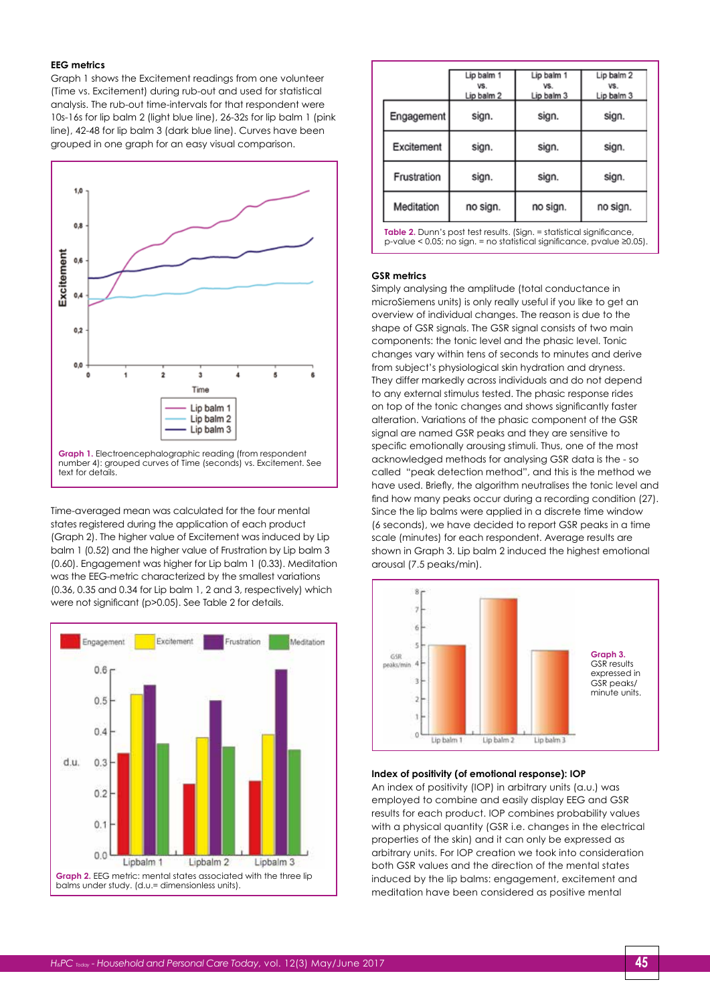#### **EEG metrics**

Graph 1 shows the Excitement readings from one volunteer (Time vs. Excitement) during rub-out and used for statistical analysis. The rub-out time-intervals for that respondent were 10s-16s for lip balm 2 (light blue line), 26-32s for lip balm 1 (pink line), 42-48 for lip balm 3 (dark blue line). Curves have been grouped in one graph for an easy visual comparison.



Time-averaged mean was calculated for the four mental states registered during the application of each product (Graph 2). The higher value of Excitement was induced by Lip balm 1 (0.52) and the higher value of Frustration by Lip balm 3 (0.60). Engagement was higher for Lip balm 1 (0.33). Meditation was the EEG-metric characterized by the smallest variations (0.36, 0.35 and 0.34 for Lip balm 1, 2 and 3, respectively) which were not significant (p>0.05). See Table 2 for details.



|             | Lip balm 1<br>VS.<br>Lip balm 2 | Lip balm 1<br>VS.<br>Lip balm 3 | Lip balm 2<br>VS.<br>Lip balm 3 |
|-------------|---------------------------------|---------------------------------|---------------------------------|
| Engagement  | sign.                           | sign.                           | sign.                           |
| Excitement  | sign.                           | sign.                           | sign.                           |
| Frustration | sign.                           | sign.                           | sign.                           |
| Meditation  | no sign.                        | no sign.                        | no sign.                        |

**Table 2.** Dunn's post test results. (Sign. = statistical significance, p-value < 0.05; no sign. = no statistical significance, pvalue ≥0.05).

#### **GSR metrics**

Simply analysing the amplitude (total conductance in microSiemens units) is only really useful if you like to get an overview of individual changes. The reason is due to the shape of GSR signals. The GSR signal consists of two main components: the tonic level and the phasic level. Tonic changes vary within tens of seconds to minutes and derive from subject's physiological skin hydration and dryness. They differ markedly across individuals and do not depend to any external stimulus tested. The phasic response rides on top of the tonic changes and shows significantly faster alteration. Variations of the phasic component of the GSR signal are named GSR peaks and they are sensitive to specific emotionally arousing stimuli. Thus, one of the most acknowledged methods for analysing GSR data is the - so called "peak detection method", and this is the method we have used. Briefly, the algorithm neutralises the tonic level and find how many peaks occur during a recording condition (27). Since the lip balms were applied in a discrete time window (6 seconds), we have decided to report GSR peaks in a time scale (minutes) for each respondent. Average results are shown in Graph 3. Lip balm 2 induced the highest emotional arousal (7.5 peaks/min).



#### **Index of positivity (of emotional response): IOP**

An index of positivity (IOP) in arbitrary units (a.u.) was employed to combine and easily display EEG and GSR results for each product. IOP combines probability values with a physical quantity (GSR i.e. changes in the electrical properties of the skin) and it can only be expressed as arbitrary units. For IOP creation we took into consideration both GSR values and the direction of the mental states induced by the lip balms: engagement, excitement and meditation have been considered as positive mental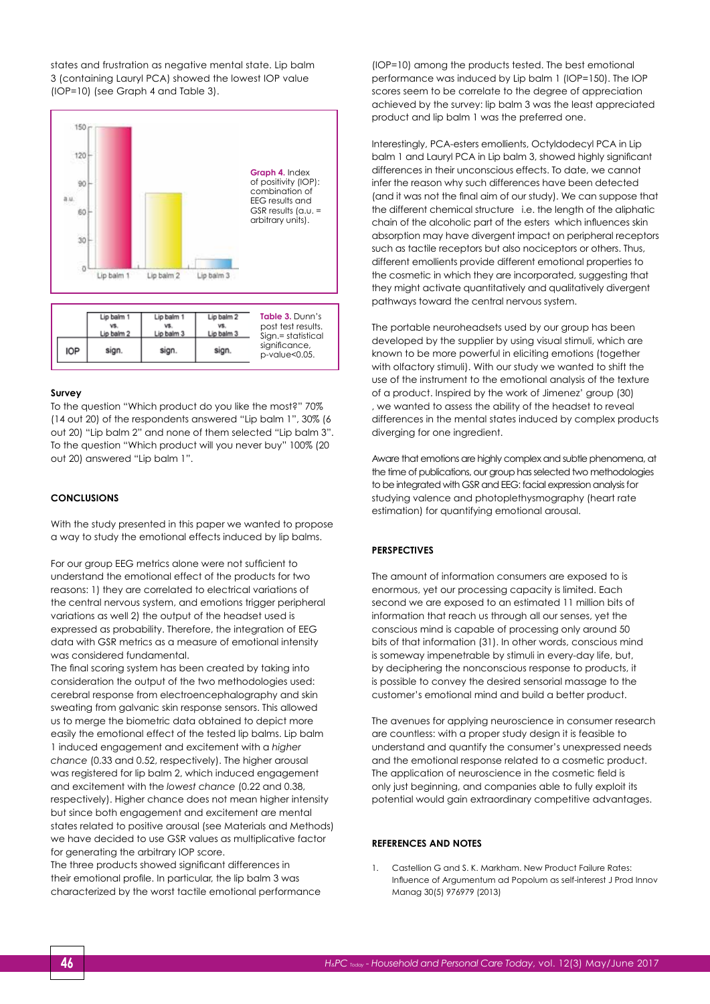states and frustration as negative mental state. Lip balm 3 (containing Lauryl PCA) showed the lowest IOP value (IOP=10) (see Graph 4 and Table 3).



#### **Survey**

To the question "Which product do you like the most?" 70% (14 out 20) of the respondents answered "Lip balm 1", 30% (6 out 20) "Lip balm 2" and none of them selected "Lip balm 3". To the question "Which product will you never buy" 100% (20 out 20) answered "Lip balm 1".

#### **CONCLUSIONS**

With the study presented in this paper we wanted to propose a way to study the emotional effects induced by lip balms.

For our group EEG metrics alone were not sufficient to understand the emotional effect of the products for two reasons: 1) they are correlated to electrical variations of the central nervous system, and emotions trigger peripheral variations as well 2) the output of the headset used is expressed as probability. Therefore, the integration of EEG data with GSR metrics as a measure of emotional intensity was considered fundamental.

The final scoring system has been created by taking into consideration the output of the two methodologies used: cerebral response from electroencephalography and skin sweating from galvanic skin response sensors. This allowed us to merge the biometric data obtained to depict more easily the emotional effect of the tested lip balms. Lip balm 1 induced engagement and excitement with a *higher chance* (0.33 and 0.52, respectively). The higher arousal was registered for lip balm 2, which induced engagement and excitement with the *lowest chance* (0.22 and 0.38, respectively). Higher chance does not mean higher intensity but since both engagement and excitement are mental states related to positive arousal (see Materials and Methods) we have decided to use GSR values as multiplicative factor for generating the arbitrary IOP score.

The three products showed significant differences in their emotional profile. In particular, the lip balm 3 was characterized by the worst tactile emotional performance (IOP=10) among the products tested. The best emotional performance was induced by Lip balm 1 (IOP=150). The IOP scores seem to be correlate to the degree of appreciation achieved by the survey: lip balm 3 was the least appreciated product and lip balm 1 was the preferred one.

Interestingly, PCA-esters emollients, Octyldodecyl PCA in Lip balm 1 and Lauryl PCA in Lip balm 3, showed highly significant differences in their unconscious effects. To date, we cannot infer the reason why such differences have been detected (and it was not the final aim of our study). We can suppose that the different chemical structure i.e. the length of the aliphatic chain of the alcoholic part of the esters which influences skin absorption may have divergent impact on peripheral receptors such as tactile receptors but also nociceptors or others. Thus, different emollients provide different emotional properties to the cosmetic in which they are incorporated, suggesting that they might activate quantitatively and qualitatively divergent pathways toward the central nervous system.

The portable neuroheadsets used by our group has been developed by the supplier by using visual stimuli, which are known to be more powerful in eliciting emotions (together with olfactory stimuli). With our study we wanted to shift the use of the instrument to the emotional analysis of the texture of a product. Inspired by the work of Jimenez' group (30) , we wanted to assess the ability of the headset to reveal differences in the mental states induced by complex products diverging for one ingredient.

Aware that emotions are highly complex and subtle phenomena, at the time of publications, our group has selected two methodologies to be integrated with GSR and EEG: facial expression analysis for studying valence and photoplethysmography (heart rate estimation) for quantifying emotional arousal.

#### **PERSPECTIVES**

The amount of information consumers are exposed to is enormous, yet our processing capacity is limited. Each second we are exposed to an estimated 11 million bits of information that reach us through all our senses, yet the conscious mind is capable of processing only around 50 bits of that information (31). In other words, conscious mind is someway impenetrable by stimuli in every-day life, but, by deciphering the nonconscious response to products, it is possible to convey the desired sensorial massage to the customer's emotional mind and build a better product.

The avenues for applying neuroscience in consumer research are countless: with a proper study design it is feasible to understand and quantify the consumer's unexpressed needs and the emotional response related to a cosmetic product. The application of neuroscience in the cosmetic field is only just beginning, and companies able to fully exploit its potential would gain extraordinary competitive advantages.

#### **REFERENCES AND NOTES**

1. Castellion G and S. K. Markham. New Product Failure Rates: Influence of Argumentum ad Popolum as self-interest J Prod Innov Manag 30(5) 976979 (2013)